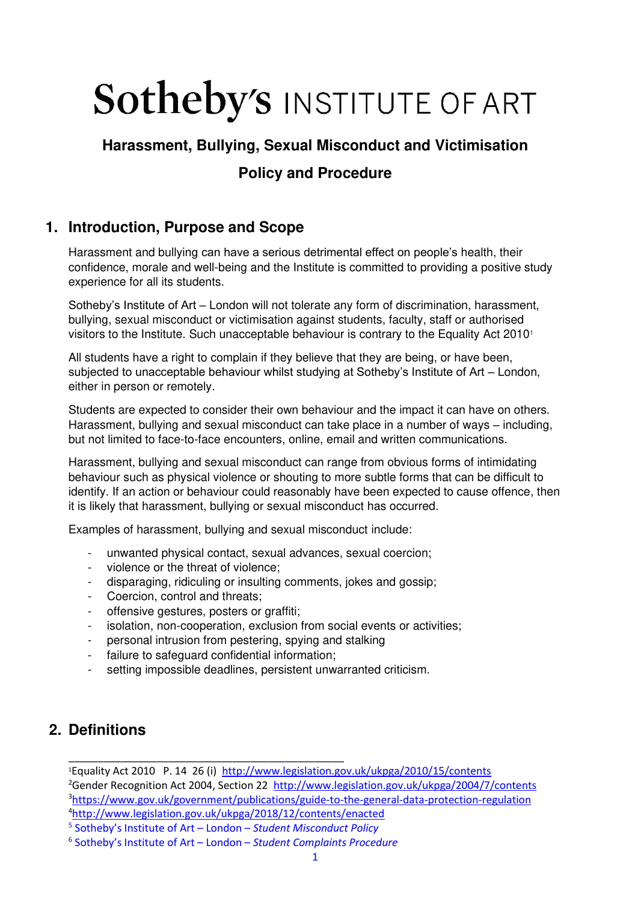# **Sotheby's INSTITUTE OF ART**

## **Harassment, Bullying, Sexual Misconduct and Victimisation Policy and Procedure**

## **1. Introduction, Purpose and Scope**

Harassment and bullying can have a serious detrimental effect on people's health, their confidence, morale and well-being and the Institute is committed to providing a positive study experience for all its students.

Sotheby's Institute of Art – London will not tolerate any form of discrimination, harassment, bullying, sexual misconduct or victimisation against students, faculty, staff or authorised visitors to the Institute. Such unacceptable behaviour is contrary to the Equality Act 2010<sup>1</sup>

All students have a right to complain if they believe that they are being, or have been, subjected to unacceptable behaviour whilst studying at Sotheby's Institute of Art – London, either in person or remotely.

Students are expected to consider their own behaviour and the impact it can have on others. Harassment, bullying and sexual misconduct can take place in a number of ways – including, but not limited to face-to-face encounters, online, email and written communications.

Harassment, bullying and sexual misconduct can range from obvious forms of intimidating behaviour such as physical violence or shouting to more subtle forms that can be difficult to identify. If an action or behaviour could reasonably have been expected to cause offence, then it is likely that harassment, bullying or sexual misconduct has occurred.

Examples of harassment, bullying and sexual misconduct include:

- unwanted physical contact, sexual advances, sexual coercion;
- violence or the threat of violence;
- disparaging, ridiculing or insulting comments, jokes and gossip;
- Coercion, control and threats;
- offensive gestures, posters or graffiti;
- isolation, non-cooperation, exclusion from social events or activities;
- personal intrusion from pestering, spying and stalking
- failure to safeguard confidential information;

\_\_\_\_\_\_\_\_\_\_\_\_\_\_\_\_\_\_\_\_\_\_\_\_\_\_\_\_\_\_\_\_\_\_\_\_\_\_\_\_\_\_\_\_\_\_\_

setting impossible deadlines, persistent unwarranted criticism.

## **2. Definitions**

Equality Act 2010 P. 14 26 (i) <http://www.legislation.gov.uk/ukpga/2010/15/contents>  $^{2}$ Gender Recognition Act 2004, Section 22 <http://www.legislation.gov.uk/ukpga/2004/7/contents> <https://www.gov.uk/government/publications/guide-to-the-general-data-protection-regulation> <http://www.legislation.gov.uk/ukpga/2018/12/contents/enacted>

<sup>5</sup> Sotheby's Institute of Art – London – *Student Misconduct Policy*

<sup>6</sup> Sotheby's Institute of Art – London – *Student Complaints Procedure*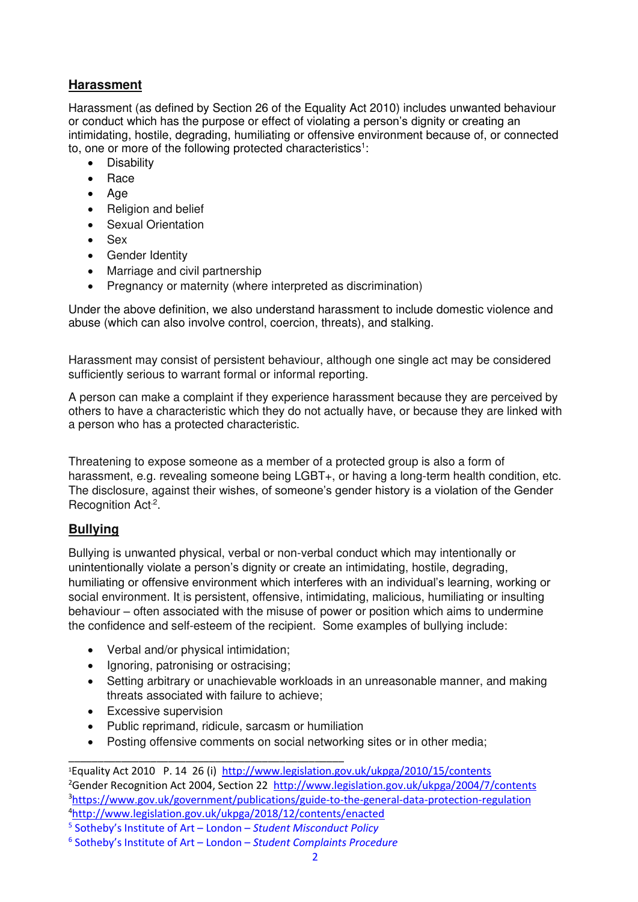#### **[Harassment](https://www.equalityhumanrights.com/en/advice-and-guidance/what-harassment-and-victimisation)**

Harassment (as defined by Section 26 of the Equality Act 2010) includes unwanted behaviour or conduct which has the purpose or effect of violating a person's dignity or creating an intimidating, hostile, degrading, humiliating or offensive environment because of, or connected to, one or more of the following protected characteristics<sup>1</sup>:

- Disability
- Race
- Age
- Religion and belief
- Sexual Orientation
- Sex
- Gender Identity
- Marriage and civil partnership
- Pregnancy or maternity (where interpreted as discrimination)

Under the above definition, we also understand harassment to include domestic violence and abuse (which can also involve control, coercion, threats), and stalking.

Harassment may consist of persistent behaviour, although one single act may be considered sufficiently serious to warrant formal or informal reporting.

A person can make a complaint if they experience harassment because they are perceived by others to have a characteristic which they do not actually have, or because they are linked with a person who has a protected characteristic.

Threatening to expose someone as a member of a protected group is also a form of harassment, e.g. revealing someone being LGBT+, or having a long-term health condition, etc. The disclosure, against their wishes, of someone's gender history is a violation of the Gender Recognition Act<sup>2</sup>.

#### **Bullying**

Bullying is unwanted physical, verbal or non-verbal conduct which may intentionally or unintentionally violate a person's dignity or create an intimidating, hostile, degrading, humiliating or offensive environment which interferes with an individual's learning, working or social environment. It is persistent, offensive, intimidating, malicious, humiliating or insulting behaviour – often associated with the misuse of power or position which aims to undermine the confidence and self-esteem of the recipient. Some examples of bullying include:

- Verbal and/or physical intimidation;
- Ignoring, patronising or ostracising;
- Setting arbitrary or unachievable workloads in an unreasonable manner, and making threats associated with failure to achieve;
- Excessive supervision
- Public reprimand, ridicule, sarcasm or humiliation

\_\_\_\_\_\_\_\_\_\_\_\_\_\_\_\_\_\_\_\_\_\_\_\_\_\_\_\_\_\_\_\_\_\_\_\_\_\_\_\_\_\_\_\_\_\_\_

• Posting offensive comments on social networking sites or in other media;

<sup>1</sup>Equality Act 2010 P. 14 26 (i) <http://www.legislation.gov.uk/ukpga/2010/15/contents> <sup>2</sup>Gender Recognition Act 2004, Section 22 <http://www.legislation.gov.uk/ukpga/2004/7/contents> <sup>3</sup><https://www.gov.uk/government/publications/guide-to-the-general-data-protection-regulation> <sup>4</sup><http://www.legislation.gov.uk/ukpga/2018/12/contents/enacted>

<sup>5</sup> Sotheby's Institute of Art – London – *Student Misconduct Policy*

<sup>6</sup> Sotheby's Institute of Art – London – *Student Complaints Procedure*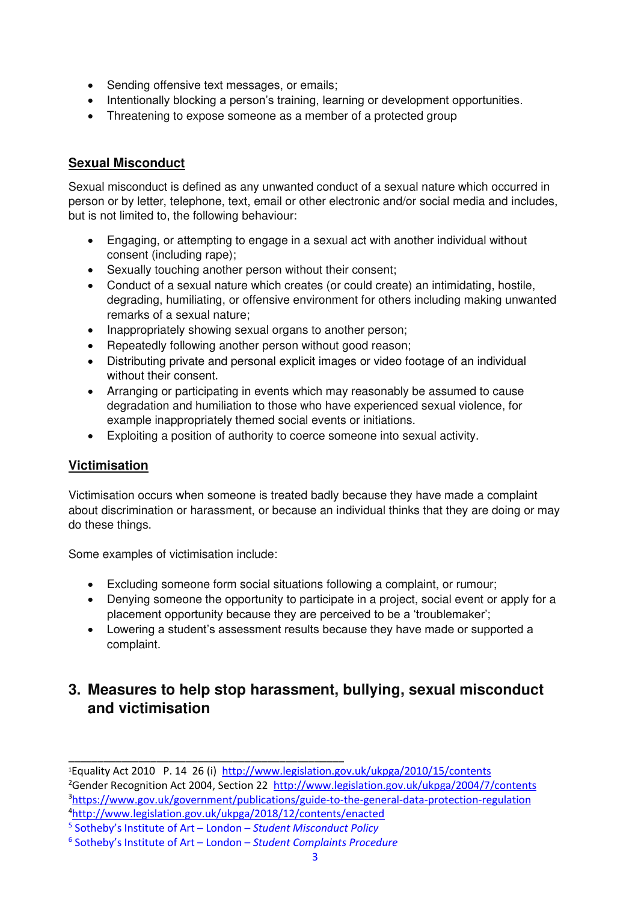- Sending offensive text messages, or emails;
- Intentionally blocking a person's training, learning or development opportunities.
- Threatening to expose someone as a member of a protected group

#### **Sexual Misconduct**

Sexual misconduct is defined as any unwanted conduct of a sexual nature which occurred in person or by letter, telephone, text, email or other electronic and/or social media and includes, but is not limited to, the following behaviour:

- Engaging, or attempting to engage in a sexual act with another individual without consent (including rape);
- Sexually touching another person without their consent;
- Conduct of a sexual nature which creates (or could create) an intimidating, hostile, degrading, humiliating, or offensive environment for others including making unwanted remarks of a sexual nature;
- Inappropriately showing sexual organs to another person;
- Repeatedly following another person without good reason;
- Distributing private and personal explicit images or video footage of an individual without their consent.
- Arranging or participating in events which may reasonably be assumed to cause degradation and humiliation to those who have experienced sexual violence, for example inappropriately themed social events or initiations.
- Exploiting a position of authority to coerce someone into sexual activity.

#### **Victimisation**

Victimisation occurs when someone is treated badly because they have made a complaint about discrimination or harassment, or because an individual thinks that they are doing or may do these things.

Some examples of victimisation include:

- Excluding someone form social situations following a complaint, or rumour;
- Denying someone the opportunity to participate in a project, social event or apply for a placement opportunity because they are perceived to be a 'troublemaker';
- Lowering a student's assessment results because they have made or supported a complaint.

## **3. Measures to help stop harassment, bullying, sexual misconduct and victimisation**

<sup>1</sup>Equality Act 2010 P. 14 26 (i) <http://www.legislation.gov.uk/ukpga/2010/15/contents> <sup>2</sup>Gender Recognition Act 2004, Section 22 <http://www.legislation.gov.uk/ukpga/2004/7/contents> <sup>3</sup><https://www.gov.uk/government/publications/guide-to-the-general-data-protection-regulation> <sup>4</sup><http://www.legislation.gov.uk/ukpga/2018/12/contents/enacted>

<sup>5</sup> Sotheby's Institute of Art – London – *Student Misconduct Policy*

<sup>6</sup> Sotheby's Institute of Art – London – *Student Complaints Procedure*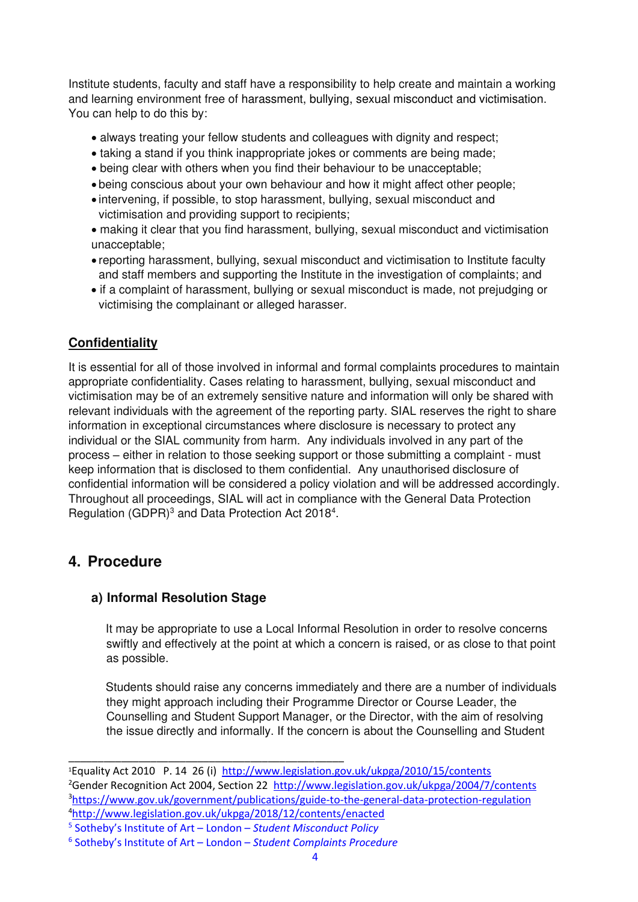Institute students, faculty and staff have a responsibility to help create and maintain a working and learning environment free of harassment, bullying, sexual misconduct and victimisation. You can help to do this by:

- always treating your fellow students and colleagues with dignity and respect;
- taking a stand if you think inappropriate jokes or comments are being made;
- being clear with others when you find their behaviour to be unacceptable;
- being conscious about your own behaviour and how it might affect other people;
- intervening, if possible, to stop harassment, bullying, sexual misconduct and victimisation and providing support to recipients;
- making it clear that you find harassment, bullying, sexual misconduct and victimisation unacceptable;
- reporting harassment, bullying, sexual misconduct and victimisation to Institute faculty and staff members and supporting the Institute in the investigation of complaints; and
- if a complaint of harassment, bullying or sexual misconduct is made, not prejudging or victimising the complainant or alleged harasser.

#### **Confidentiality**

It is essential for all of those involved in informal and formal complaints procedures to maintain appropriate confidentiality. Cases relating to harassment, bullying, sexual misconduct and victimisation may be of an extremely sensitive nature and information will only be shared with relevant individuals with the agreement of the reporting party. SIAL reserves the right to share information in exceptional circumstances where disclosure is necessary to protect any individual or the SIAL community from harm. Any individuals involved in any part of the process – either in relation to those seeking support or those submitting a complaint - must keep information that is disclosed to them confidential. Any unauthorised disclosure of confidential information will be considered a policy violation and will be addressed accordingly. Throughout all proceedings, SIAL will act in compliance with the General Data Protection Regulation  $(GDPR)^3$  and Data Protection Act 2018<sup>4</sup>.

## **4. Procedure**

#### **a) Informal Resolution Stage**

It may be appropriate to use a Local Informal Resolution in order to resolve concerns swiftly and effectively at the point at which a concern is raised, or as close to that point as possible.

Students should raise any concerns immediately and there are a number of individuals they might approach including their Programme Director or Course Leader, the Counselling and Student Support Manager, or the Director, with the aim of resolving the issue directly and informally. If the concern is about the Counselling and Student

5 Sotheby's Institute of Art – London – *Student Misconduct Policy*

<sup>1</sup>Equality Act 2010 P. 14 26 (i) <http://www.legislation.gov.uk/ukpga/2010/15/contents> <sup>2</sup>Gender Recognition Act 2004, Section 22 <http://www.legislation.gov.uk/ukpga/2004/7/contents> <sup>3</sup><https://www.gov.uk/government/publications/guide-to-the-general-data-protection-regulation> <sup>4</sup><http://www.legislation.gov.uk/ukpga/2018/12/contents/enacted>

<sup>6</sup> Sotheby's Institute of Art – London – *Student Complaints Procedure*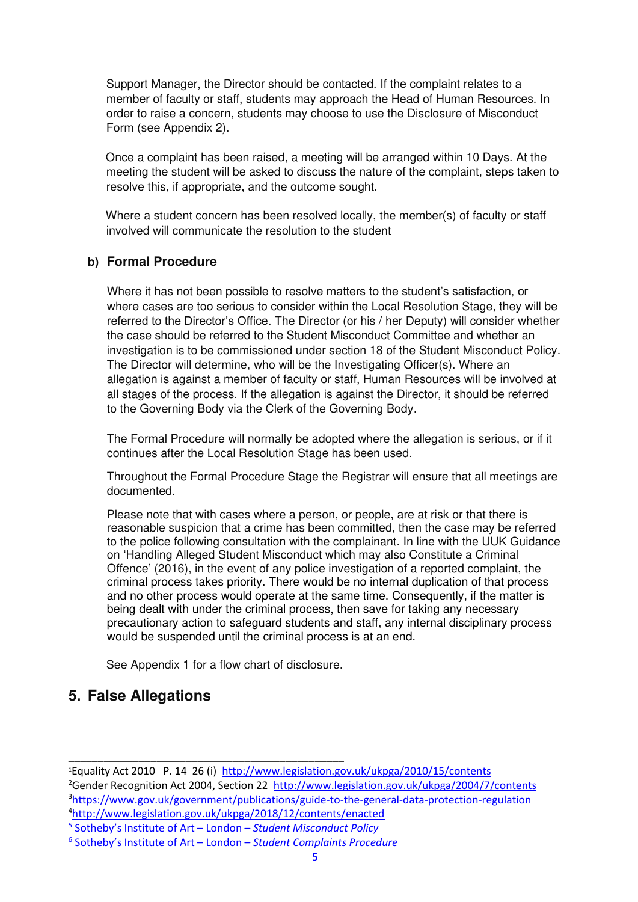Support Manager, the Director should be contacted. If the complaint relates to a member of faculty or staff, students may approach the Head of Human Resources. In order to raise a concern, students may choose to use the Disclosure of Misconduct Form (see Appendix 2).

Once a complaint has been raised, a meeting will be arranged within 10 Days. At the meeting the student will be asked to discuss the nature of the complaint, steps taken to resolve this, if appropriate, and the outcome sought.

Where a student concern has been resolved locally, the member(s) of faculty or staff involved will communicate the resolution to the student

#### **b) Formal Procedure**

Where it has not been possible to resolve matters to the student's satisfaction, or where cases are too serious to consider within the Local Resolution Stage, they will be referred to the Director's Office. The Director (or his / her Deputy) will consider whether the case should be referred to the Student Misconduct Committee and whether an investigation is to be commissioned under section 18 of the Student Misconduct Policy. The Director will determine, who will be the Investigating Officer(s). Where an allegation is against a member of faculty or staff, Human Resources will be involved at all stages of the process. If the allegation is against the Director, it should be referred to the Governing Body via the Clerk of the Governing Body.

The Formal Procedure will normally be adopted where the allegation is serious, or if it continues after the Local Resolution Stage has been used.

Throughout the Formal Procedure Stage the Registrar will ensure that all meetings are documented.

Please note that with cases where a person, or people, are at risk or that there is reasonable suspicion that a crime has been committed, then the case may be referred to the police following consultation with the complainant. In line with the UUK Guidance on 'Handling Alleged Student Misconduct which may also Constitute a Criminal Offence' (2016), in the event of any police investigation of a reported complaint, the criminal process takes priority. There would be no internal duplication of that process and no other process would operate at the same time. Consequently, if the matter is being dealt with under the criminal process, then save for taking any necessary precautionary action to safeguard students and staff, any internal disciplinary process would be suspended until the criminal process is at an end.

See Appendix 1 for a flow chart of disclosure.

#### **5. False Allegations**

<sup>2</sup>Gender Recognition Act 2004, Section 22 <http://www.legislation.gov.uk/ukpga/2004/7/contents> <sup>3</sup><https://www.gov.uk/government/publications/guide-to-the-general-data-protection-regulation> <sup>4</sup><http://www.legislation.gov.uk/ukpga/2018/12/contents/enacted>

<sup>1</sup>Equality Act 2010 P. 14 26 (i) <http://www.legislation.gov.uk/ukpga/2010/15/contents>

<sup>5</sup> Sotheby's Institute of Art – London – *Student Misconduct Policy*

<sup>6</sup> Sotheby's Institute of Art – London – *Student Complaints Procedure*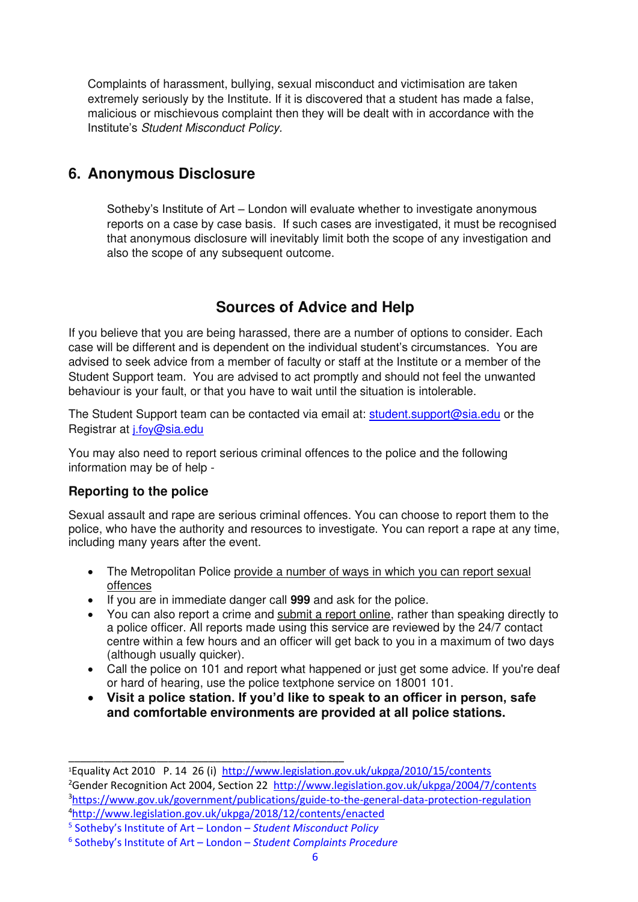Complaints of harassment, bullying, sexual misconduct and victimisation are taken extremely seriously by the Institute. If it is discovered that a student has made a false, malicious or mischievous complaint then they will be dealt with in accordance with the Institute's Student Misconduct Policy.

## **6. Anonymous Disclosure**

Sotheby's Institute of Art – London will evaluate whether to investigate anonymous reports on a case by case basis. If such cases are investigated, it must be recognised that anonymous disclosure will inevitably limit both the scope of any investigation and also the scope of any subsequent outcome.

## **Sources of Advice and Help**

If you believe that you are being harassed, there are a number of options to consider. Each case will be different and is dependent on the individual student's circumstances. You are advised to seek advice from a member of faculty or staff at the Institute or a member of the Student Support team. You are advised to act promptly and should not feel the unwanted behaviour is your fault, or that you have to wait until the situation is intolerable.

The Student Support team can be contacted via email at: [student.support@sia.edu](mailto:student.support@sia.edu) or the Registrar at *i.foy[@sia.edu](mailto:j.foy@sia.edu)* 

You may also need to report serious criminal offences to the police and the following information may be of help -

#### **Reporting to the police**

Sexual assault and rape are serious criminal offences. You can choose to report them to the police, who have the authority and resources to investigate. You can report a rape at any time, including many years after the event.

- The Metropolitan Police provide a number of ways in which you can report sexual [offences](https://www.met.police.uk/advice/advice-and-information/rsa/rape-and-sexual-assault/how-to-report-rape-and-sexual-assault/)
- If you are in immediate danger call **999** and ask for the police.
- You can also report a crime and [submit a report online,](https://www.met.police.uk/ro/report/ocr/af/how-to-report-a-crime/) rather than speaking directly to a police officer. All reports made using this service are reviewed by the 24/7 contact centre within a few hours and an officer will get back to you in a maximum of two days (although usually quicker).
- Call the police on [101](tel:101) and report what happened or just get some advice. If you're deaf or hard of hearing, use the police textphone service on 18001 101.
- **Visit a police station. If you'd like to speak to an officer in person, safe and comfortable environments are provided at all police stations.**

<sup>1</sup>Equality Act 2010 P. 14 26 (i) <http://www.legislation.gov.uk/ukpga/2010/15/contents> <sup>2</sup>Gender Recognition Act 2004, Section 22 <http://www.legislation.gov.uk/ukpga/2004/7/contents> <sup>3</sup><https://www.gov.uk/government/publications/guide-to-the-general-data-protection-regulation> <sup>4</sup><http://www.legislation.gov.uk/ukpga/2018/12/contents/enacted>

<sup>5</sup> Sotheby's Institute of Art – London – *Student Misconduct Policy*

<sup>6</sup> Sotheby's Institute of Art – London – *Student Complaints Procedure*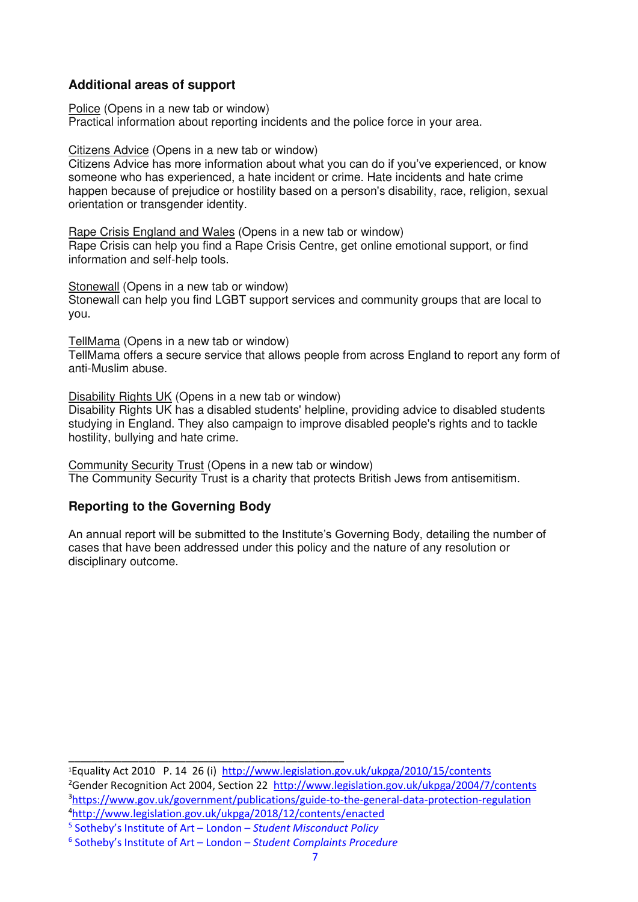#### **Additional areas of support**

[Police \(Opens in a new tab or window\)](https://www.police.uk/)  Practical information about reporting incidents and the police force in your area.

[Citizens Advice \(Opens in a new tab or window\)](https://www.citizensadvice.org.uk/law-and-courts/discrimination/hate-crime/) 

Citizens Advice has more information about what you can do if you've experienced, or know someone who has experienced, a hate incident or crime. Hate incidents and hate crime happen because of prejudice or hostility based on a person's disability, race, religion, sexual orientation or transgender identity.

[Rape Crisis England and Wales \(Opens in a new tab or window\)](https://rapecrisis.org.uk/get-help/)  Rape Crisis can help you find a Rape Crisis Centre, get online emotional support, or find information and self-help tools.

[Stonewall \(Opens in a new tab or window\)](https://www.stonewall.org.uk/help-advice/whats-my-area)  Stonewall can help you find LGBT support services and community groups that are local to you.

[TellMama \(Opens in a new tab or window\)](https://tellmamauk.org/) 

TellMama offers a secure service that allows people from across England to report any form of anti-Muslim abuse.

[Disability Rights UK \(Opens in a new tab or window\)](https://www.disabilityrightsuk.org/how-we-can-help/helplines/disabled-students-helpline) 

Disability Rights UK has a disabled students' helpline, providing advice to disabled students studying in England. They also campaign to improve disabled people's rights and to tackle hostility, bullying and hate crime.

[Community Security Trust \(Opens in a new tab or window\)](https://cst.org.uk/)  The Community Security Trust is a charity that protects British Jews from antisemitism.

#### **Reporting to the Governing Body**

An annual report will be submitted to the Institute's Governing Body, detailing the number of cases that have been addressed under this policy and the nature of any resolution or disciplinary outcome.

Equality Act 2010 P. 14 26 (i) <http://www.legislation.gov.uk/ukpga/2010/15/contents> Gender Recognition Act 2004, Section 22 <http://www.legislation.gov.uk/ukpga/2004/7/contents> <https://www.gov.uk/government/publications/guide-to-the-general-data-protection-regulation> <http://www.legislation.gov.uk/ukpga/2018/12/contents/enacted>

5 Sotheby's Institute of Art – London – *Student Misconduct Policy*

<sup>6</sup> Sotheby's Institute of Art – London – *Student Complaints Procedure*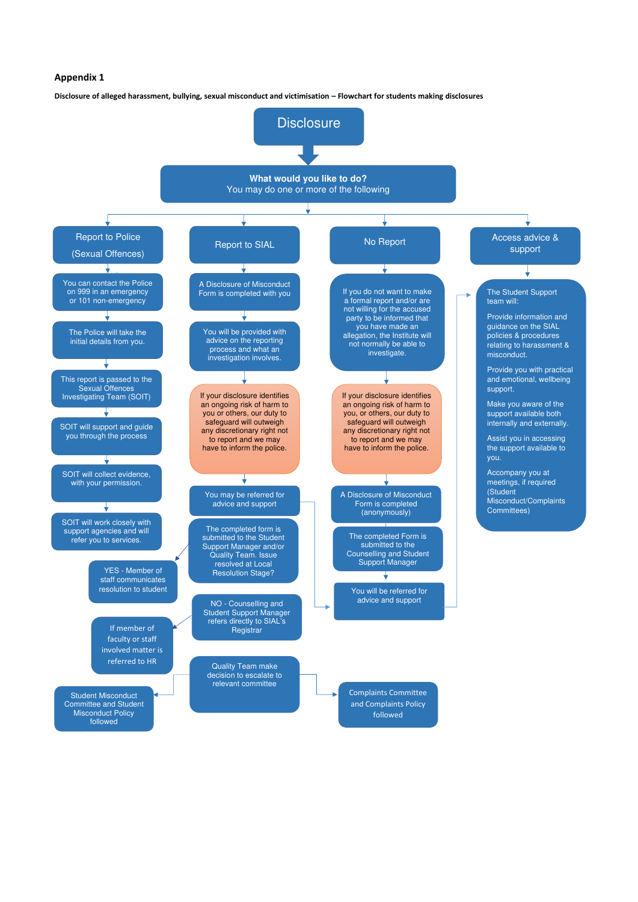#### **Appendix 1**

**Disclosure of alleged harassment, bullying, sexual misconduct and victimisation – Flowchart for students making disclosures**



relevant committee

Student Misconduct Committee and Student Misconduct Policy followed

Complaints Committee and Complaints Policy followed